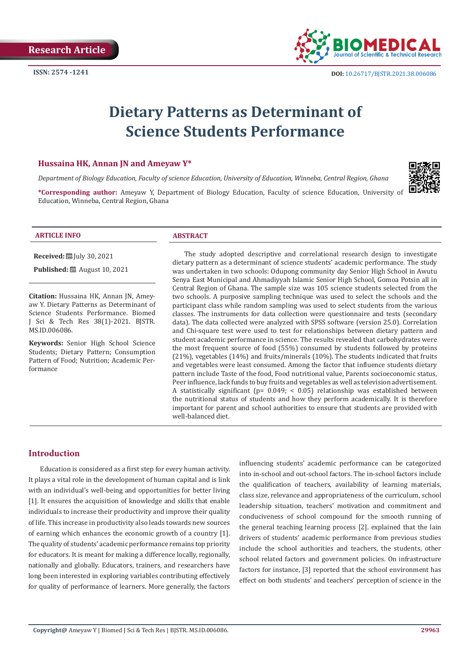

# **Dietary Patterns as Determinant of Science Students Performance**

#### **Hussaina HK, Annan JN and Ameyaw Y\***

*Department of Biology Education, Faculty of science Education, University of Education, Winneba, Central Region, Ghana*



**\*Corresponding author:** Ameyaw Y, Department of Biology Education, Faculty of science Education, University of Education, Winneba, Central Region, Ghana

#### **ARTICLE INFO ABSTRACT**

**Received:** [Uly 30, 2021]

**Published:** ■ August 10, 2021

**Citation:** Hussaina HK, Annan JN, Ameyaw Y. Dietary Patterns as Determinant of Science Students Performance. Biomed J Sci & Tech Res 38(1)-2021. BJSTR. MS.ID.006086.

**Keywords:** Senior High School Science Students; Dietary Pattern; Consumption Pattern of Food; Nutrition; Academic Performance

The study adopted descriptive and correlational research design to investigate dietary pattern as a determinant of science students' academic performance. The study was undertaken in two schools: Odupong community day Senior High School in Awutu Senya East Municipal and Ahmadiyyah Islamic Senior High School, Gomoa Potsin all in Central Region of Ghana. The sample size was 105 science students selected from the two schools. A purposive sampling technique was used to select the schools and the participant class while random sampling was used to select students from the various classes. The instruments for data collection were questionnaire and tests (secondary data). The data collected were analyzed with SPSS software (version 25.0). Correlation and Chi-square test were used to test for relationships between dietary pattern and student academic performance in science. The results revealed that carbohydrates were the most frequent source of food (55%) consumed by students followed by proteins (21%), vegetables (14%) and fruits/minerals (10%). The students indicated that fruits and vegetables were least consumed. Among the factor that influence students dietary pattern include Taste of the food, Food nutritional value, Parents socioeconomic status, Peer influence, lack funds to buy fruits and vegetables as well as television advertisement. A statistically significant (p= 0.049; < 0.05) relationship was established between the nutritional status of students and how they perform academically. It is therefore important for parent and school authorities to ensure that students are provided with well-balanced diet.

# **Introduction**

Education is considered as a first step for every human activity. It plays a vital role in the development of human capital and is link with an individual's well-being and opportunities for better living [1]. It ensures the acquisition of knowledge and skills that enable individuals to increase their productivity and improve their quality of life. This increase in productivity also leads towards new sources of earning which enhances the economic growth of a country [1]. The quality of students' academic performance remains top priority for educators. It is meant for making a difference locally, regionally, nationally and globally. Educators, trainers, and researchers have long been interested in exploring variables contributing effectively for quality of performance of learners. More generally, the factors

influencing students' academic performance can be categorized into in-school and out-school factors. The in-school factors include the qualification of teachers, availability of learning materials, class size, relevance and appropriateness of the curriculum, school leadership situation, teachers' motivation and commitment and conduciveness of school compound for the smooth running of the general teaching learning process [2]. explained that the lain drivers of students' academic performance from previous studies include the school authorities and teachers, the students, other school related factors and government policies. On infrastructure factors for instance, [3] reported that the school environment has effect on both students' and teachers' perception of science in the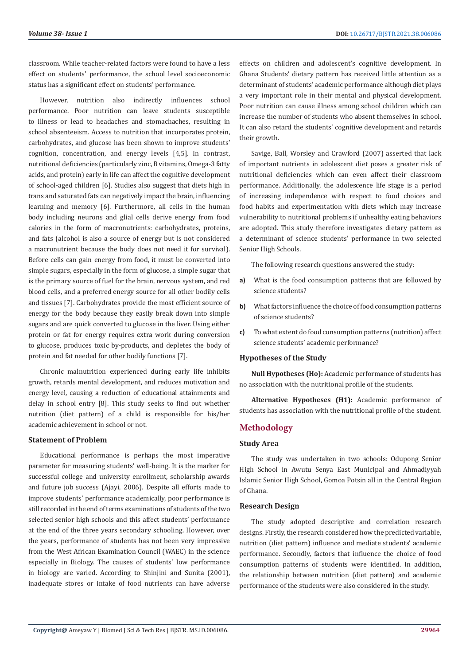classroom. While teacher-related factors were found to have a less effect on students' performance, the school level socioeconomic status has a significant effect on students' performance.

However, nutrition also indirectly influences school performance. Poor nutrition can leave students susceptible to illness or lead to headaches and stomachaches, resulting in school absenteeism. Access to nutrition that incorporates protein, carbohydrates, and glucose has been shown to improve students' cognition, concentration, and energy levels [4,5]. In contrast, nutritional deficiencies (particularly zinc, B vitamins, Omega-3 fatty acids, and protein) early in life can affect the cognitive development of school-aged children [6]. Studies also suggest that diets high in trans and saturated fats can negatively impact the brain, influencing learning and memory [6]. Furthermore, all cells in the human body including neurons and glial cells derive energy from food calories in the form of macronutrients: carbohydrates, proteins, and fats (alcohol is also a source of energy but is not considered a macronutrient because the body does not need it for survival). Before cells can gain energy from food, it must be converted into simple sugars, especially in the form of glucose, a simple sugar that is the primary source of fuel for the brain, nervous system, and red blood cells, and a preferred energy source for all other bodily cells and tissues [7]. Carbohydrates provide the most efficient source of energy for the body because they easily break down into simple sugars and are quick converted to glucose in the liver. Using either protein or fat for energy requires extra work during conversion to glucose, produces toxic by-products, and depletes the body of protein and fat needed for other bodily functions [7].

Chronic malnutrition experienced during early life inhibits growth, retards mental development, and reduces motivation and energy level, causing a reduction of educational attainments and delay in school entry [8]. This study seeks to find out whether nutrition (diet pattern) of a child is responsible for his/her academic achievement in school or not.

# **Statement of Problem**

Educational performance is perhaps the most imperative parameter for measuring students' well-being. It is the marker for successful college and university enrollment, scholarship awards and future job success (Ajayi, 2006). Despite all efforts made to improve students' performance academically, poor performance is still recorded in the end of terms examinations of students of the two selected senior high schools and this affect students' performance at the end of the three years secondary schooling. However, over the years, performance of students has not been very impressive from the West African Examination Council (WAEC) in the science especially in Biology. The causes of students' low performance in biology are varied. According to Shinjini and Sunita (2001), inadequate stores or intake of food nutrients can have adverse

effects on children and adolescent's cognitive development. In Ghana Students' dietary pattern has received little attention as a determinant of students' academic performance although diet plays a very important role in their mental and physical development. Poor nutrition can cause illness among school children which can increase the number of students who absent themselves in school. It can also retard the students' cognitive development and retards their growth.

Savige, Ball, Worsley and Crawford (2007) asserted that lack of important nutrients in adolescent diet poses a greater risk of nutritional deficiencies which can even affect their classroom performance. Additionally, the adolescence life stage is a period of increasing independence with respect to food choices and food habits and experimentation with diets which may increase vulnerability to nutritional problems if unhealthy eating behaviors are adopted. This study therefore investigates dietary pattern as a determinant of science students' performance in two selected Senior High Schools.

The following research questions answered the study:

- **a)** What is the food consumption patterns that are followed by science students?
- **b)** What factors influence the choice of food consumption patterns of science students?
- **c)** To what extent do food consumption patterns (nutrition) affect science students' academic performance?

### **Hypotheses of the Study**

**Null Hypotheses (Ho):** Academic performance of students has no association with the nutritional profile of the students.

**Alternative Hypotheses (H1):** Academic performance of students has association with the nutritional profile of the student.

# **Methodology**

#### **Study Area**

The study was undertaken in two schools: Odupong Senior High School in Awutu Senya East Municipal and Ahmadiyyah Islamic Senior High School, Gomoa Potsin all in the Central Region of Ghana.

# **Research Design**

The study adopted descriptive and correlation research designs. Firstly, the research considered how the predicted variable, nutrition (diet pattern) influence and mediate students' academic performance. Secondly, factors that influence the choice of food consumption patterns of students were identified. In addition, the relationship between nutrition (diet pattern) and academic performance of the students were also considered in the study.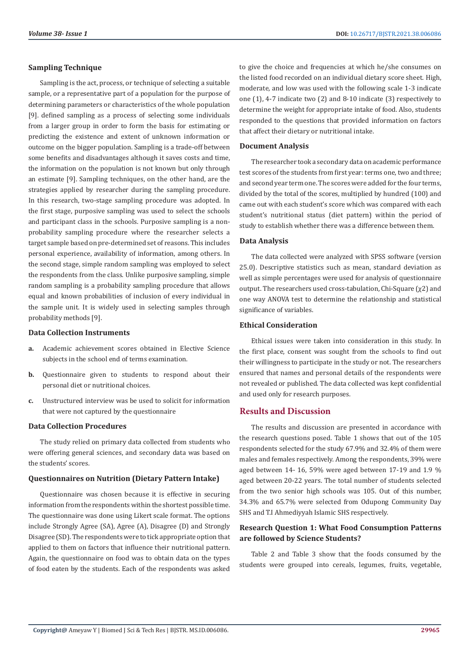# **Sampling Technique**

Sampling is the act, process, or technique of selecting a suitable sample, or a representative part of a population for the purpose of determining parameters or characteristics of the whole population [9]. defined sampling as a process of selecting some individuals from a larger group in order to form the basis for estimating or predicting the existence and extent of unknown information or outcome on the bigger population. Sampling is a trade-off between some benefits and disadvantages although it saves costs and time, the information on the population is not known but only through an estimate [9]. Sampling techniques, on the other hand, are the strategies applied by researcher during the sampling procedure. In this research, two-stage sampling procedure was adopted. In the first stage, purposive sampling was used to select the schools and participant class in the schools. Purposive sampling is a nonprobability sampling procedure where the researcher selects a target sample based on pre-determined set of reasons. This includes personal experience, availability of information, among others. In the second stage, simple random sampling was employed to select the respondents from the class. Unlike purposive sampling, simple random sampling is a probability sampling procedure that allows equal and known probabilities of inclusion of every individual in the sample unit. It is widely used in selecting samples through probability methods [9].

# **Data Collection Instruments**

- **a.** Academic achievement scores obtained in Elective Science subjects in the school end of terms examination.
- **b.** Questionnaire given to students to respond about their personal diet or nutritional choices.
- **c.** Unstructured interview was be used to solicit for information that were not captured by the questionnaire

# **Data Collection Procedures**

The study relied on primary data collected from students who were offering general sciences, and secondary data was based on the students' scores.

#### **Questionnaires on Nutrition (Dietary Pattern Intake)**

Questionnaire was chosen because it is effective in securing information from the respondents within the shortest possible time. The questionnaire was done using Likert scale format. The options include Strongly Agree (SA), Agree (A), Disagree (D) and Strongly Disagree (SD). The respondents were to tick appropriate option that applied to them on factors that influence their nutritional pattern. Again, the questionnaire on food was to obtain data on the types of food eaten by the students. Each of the respondents was asked

to give the choice and frequencies at which he/she consumes on the listed food recorded on an individual dietary score sheet. High, moderate, and low was used with the following scale 1-3 indicate one (1), 4-7 indicate two (2) and 8-10 indicate (3) respectively to determine the weight for appropriate intake of food. Also, students responded to the questions that provided information on factors that affect their dietary or nutritional intake.

# **Document Analysis**

The researcher took a secondary data on academic performance test scores of the students from first year: terms one, two and three; and second year term one. The scores were added for the four terms, divided by the total of the scores, multiplied by hundred (100) and came out with each student's score which was compared with each student's nutritional status (diet pattern) within the period of study to establish whether there was a difference between them.

## **Data Analysis**

The data collected were analyzed with SPSS software (version 25.0). Descriptive statistics such as mean, standard deviation as well as simple percentages were used for analysis of questionnaire output. The researchers used cross-tabulation, Chi-Square (χ2) and one way ANOVA test to determine the relationship and statistical significance of variables.

#### **Ethical Consideration**

Ethical issues were taken into consideration in this study. In the first place, consent was sought from the schools to find out their willingness to participate in the study or not. The researchers ensured that names and personal details of the respondents were not revealed or published. The data collected was kept confidential and used only for research purposes.

# **Results and Discussion**

The results and discussion are presented in accordance with the research questions posed. Table 1 shows that out of the 105 respondents selected for the study 67.9% and 32.4% of them were males and females respectively. Among the respondents, 39% were aged between 14- 16, 59% were aged between 17-19 and 1.9 % aged between 20-22 years. The total number of students selected from the two senior high schools was 105. Out of this number, 34.3% and 65.7% were selected from Odupong Community Day SHS and T.I Ahmediyyah Islamic SHS respectively.

# **Research Question 1: What Food Consumption Patterns are followed by Science Students?**

Table 2 and Table 3 show that the foods consumed by the students were grouped into cereals, legumes, fruits, vegetable,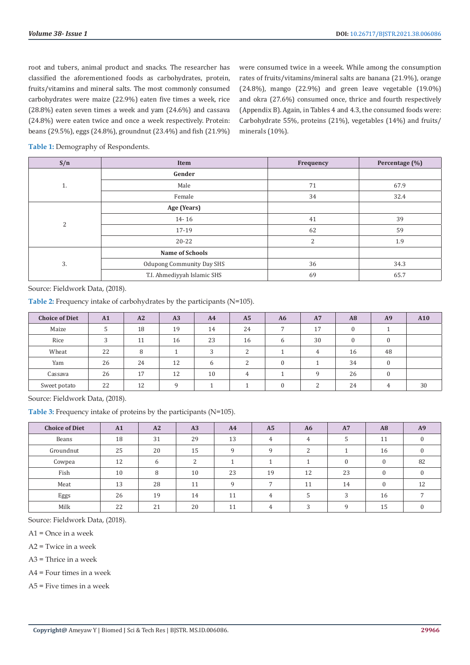root and tubers, animal product and snacks. The researcher has classified the aforementioned foods as carbohydrates, protein, fruits/vitamins and mineral salts. The most commonly consumed carbohydrates were maize (22.9%) eaten five times a week, rice (28.8%) eaten seven times a week and yam (24.6%) and cassava (24.8%) were eaten twice and once a week respectively. Protein: beans (29.5%), eggs (24.8%), groundnut (23.4%) and fish (21.9%) were consumed twice in a weeek. While among the consumption rates of fruits/vitamins/mineral salts are banana (21.9%), orange (24.8%), mango (22.9%) and green leave vegetable (19.0%) and okra (27.6%) consumed once, thrice and fourth respectively (Appendix B). Again, in Tables 4 and 4.3, the consumed foods were: Carbohydrate 55%, proteins (21%), vegetables (14%) and fruits/ minerals (10%).

**Table 1:** Demography of Respondents.

| S/n            | Item                             | Frequency                       | Percentage (%) |
|----------------|----------------------------------|---------------------------------|----------------|
|                | Gender                           |                                 |                |
| 1.             | Male                             | 71                              | 67.9           |
|                | Female                           | 34<br>41<br>62<br>2<br>36<br>69 | 32.4           |
|                | Age (Years)                      |                                 |                |
| $\overline{2}$ | $14 - 16$                        |                                 | 39             |
|                | 17-19                            |                                 | 59             |
|                | $20 - 22$                        |                                 | 1.9            |
|                | <b>Name of Schools</b>           |                                 |                |
| 3.             | <b>Odupong Community Day SHS</b> |                                 | 34.3           |
|                | T.I. Ahmediyyah Islamic SHS      |                                 | 65.7           |

Source: Fieldwork Data, (2018).

**Table 2:** Frequency intake of carbohydrates by the participants (N=105).

| <b>Choice of Diet</b> | A1 | A2 | A3 | A <sub>4</sub> | A <sub>5</sub> | A <sub>6</sub> | A7             | A8       | A9       | A10 |
|-----------------------|----|----|----|----------------|----------------|----------------|----------------|----------|----------|-----|
| Maize                 |    | 18 | 19 | 14             | 24             | $\overline{ }$ | 17             | $\Omega$ |          |     |
| Rice                  | 3  | 11 | 16 | 23             | 16             | 6              | 30             |          |          |     |
| Wheat                 | 22 | 8  |    | 3              | $\overline{c}$ |                | $\overline{4}$ | 16       | 48       |     |
| Yam                   | 26 | 24 | 12 | 6              | $\mathcal{D}$  | $\theta$       |                | 34       | $\Omega$ |     |
| Cassava               | 26 | 17 | 12 | 10             | $\overline{4}$ |                | $\Omega$       | 26       | $\Omega$ |     |
| Sweet potato          | 22 | 12 |    |                |                | $\Omega$       | ∍              | 24       |          | 30  |

Source: Fieldwork Data, (2018).

**Table 3:** Frequency intake of proteins by the participants (N=105).

| <b>Choice of Diet</b> | A1 | A2 | A <sub>3</sub>     | A4 | A <sub>5</sub> | A <sub>6</sub> | <b>A7</b> | A8       | A9 |
|-----------------------|----|----|--------------------|----|----------------|----------------|-----------|----------|----|
| Beans                 | 18 | 31 | 29                 | 13 | $\overline{4}$ | 4              | 5         | 11       |    |
| Groundnut             | 25 | 20 | 15                 | a  | Q              | <sup>n</sup>   |           | 16       |    |
| Cowpea                | 12 | 6  | $\mathcal{D}$<br>∠ |    |                |                | $\theta$  | $\theta$ | 82 |
| Fish                  | 10 | 8  | 10                 | 23 | 19             | 12             | 23        |          |    |
| Meat                  | 13 | 28 | 11                 | Q  | $\overline{ }$ | 11             | 14        | $\Omega$ | 12 |
| Eggs                  | 26 | 19 | 14                 | 11 | $\overline{4}$ |                | 3         | 16       |    |
| Milk                  | 22 | 21 | 20                 | 11 | 4              | 2              | $\Omega$  | 15       |    |

Source: Fieldwork Data, (2018).

 $A1 =$ Once in a week

A2 = Twice in a week

A3 = Thrice in a week

A4 = Four times in a week

A5 = Five times in a week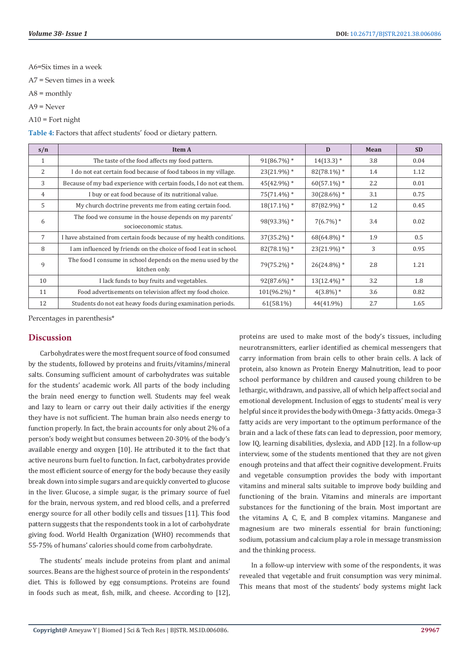A6=Six times in a week

A7 = Seven times in a week

- $A8 =$  monthly
- A9 = Never

A10 = Fort night

**Table 4:** Factors that affect students' food or dietary pattern.

| s/n          | <b>Item A</b>                                                                    |                 | D                         | Mean | <b>SD</b> |
|--------------|----------------------------------------------------------------------------------|-----------------|---------------------------|------|-----------|
| 1            | The taste of the food affects my food pattern.                                   | $91(86.7%)$ *   | $14(13.3)*$               | 3.8  | 0.04      |
| 2            | I do not eat certain food because of food taboos in my village.                  | $23(21.9\%)$ *  | $82(78.1\%)$ *            | 1.4  | 1.12      |
| 3            | Because of my bad experience with certain foods, I do not eat them.              | $45(42.9\%)$ *  | $60(57.1\%)$ *            | 2.2  | 0.01      |
| 4            | I buy or eat food because of its nutritional value.                              | $75(71.4\%)$ *  | $30(28.6\%)$ *            | 3.1  | 0.75      |
| .5           | My church doctrine prevents me from eating certain food.                         | $18(17.1\%)$ *  | 87(82.9%)*                | 1.2  | 0.45      |
| 6            | The food we consume in the house depends on my parents'<br>socioeconomic status. | 98(93.3%) *     | $7(6.7\%)$ *              | 3.4  | 0.02      |
| 7            | I have abstained from certain foods because of my health conditions.             | $37(35.2\%)$ *  | $68(64.8\%)$ <sup>*</sup> | 1.9  | 0.5       |
| 8            | I am influenced by friends on the choice of food I eat in school.                | $82(78.1\%)$ *  | $23(21.9\%)$ *            | 3    | 0.95      |
| $\mathbf{q}$ | The food I consume in school depends on the menu used by the<br>kitchen only.    | 79(75.2%) *     | $26(24.8\%)$ *            | 2.8  | 1.21      |
| 10           | I lack funds to buy fruits and vegetables.                                       | $92(87.6\%)$ *  | $13(12.4\%)$ *            | 3.2  | 1.8       |
| 11           | Food advertisements on television affect my food choice.                         | $101(96.2\%)$ * | $4(3.8\%)$ *              | 3.6  | 0.82      |
| 12           | Students do not eat heavy foods during examination periods.                      | $61(58.1\%)$    | 44(41.9%)                 | 2.7  | 1.65      |

Percentages in parenthesis\*

# **Discussion**

Carbohydrates were the most frequent source of food consumed by the students, followed by proteins and fruits/vitamins/mineral salts. Consuming sufficient amount of carbohydrates was suitable for the students' academic work. All parts of the body including the brain need energy to function well. Students may feel weak and lazy to learn or carry out their daily activities if the energy they have is not sufficient. The human brain also needs energy to function properly. In fact, the brain accounts for only about 2% of a person's body weight but consumes between 20-30% of the body's available energy and oxygen [10]. He attributed it to the fact that active neurons burn fuel to function. In fact, carbohydrates provide the most efficient source of energy for the body because they easily break down into simple sugars and are quickly converted to glucose in the liver. Glucose, a simple sugar, is the primary source of fuel for the brain, nervous system, and red blood cells, and a preferred energy source for all other bodily cells and tissues [11]. This food pattern suggests that the respondents took in a lot of carbohydrate giving food. World Health Organization (WHO) recommends that 55-75% of humans' calories should come from carbohydrate.

The students' meals include proteins from plant and animal sources. Beans are the highest source of protein in the respondents' diet. This is followed by egg consumptions. Proteins are found in foods such as meat, fish, milk, and cheese. According to [12], proteins are used to make most of the body's tissues, including neurotransmitters, earlier identified as chemical messengers that carry information from brain cells to other brain cells. A lack of protein, also known as Protein Energy Malnutrition, lead to poor school performance by children and caused young children to be lethargic, withdrawn, and passive, all of which help affect social and emotional development. Inclusion of eggs to students' meal is very helpful since it provides the body with Omega -3 fatty acids. Omega-3 fatty acids are very important to the optimum performance of the brain and a lack of these fats can lead to depression, poor memory, low IQ, learning disabilities, dyslexia, and ADD [12]. In a follow-up interview, some of the students mentioned that they are not given enough proteins and that affect their cognitive development. Fruits and vegetable consumption provides the body with important vitamins and mineral salts suitable to improve body building and functioning of the brain. Vitamins and minerals are important substances for the functioning of the brain. Most important are the vitamins A, C, E, and B complex vitamins. Manganese and magnesium are two minerals essential for brain functioning; sodium, potassium and calcium play a role in message transmission and the thinking process.

In a follow-up interview with some of the respondents, it was revealed that vegetable and fruit consumption was very minimal. This means that most of the students' body systems might lack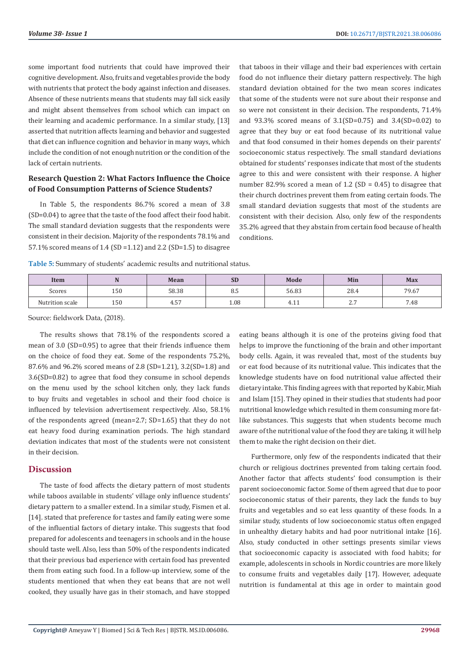some important food nutrients that could have improved their cognitive development. Also, fruits and vegetables provide the body with nutrients that protect the body against infection and diseases. Absence of these nutrients means that students may fall sick easily and might absent themselves from school which can impact on their learning and academic performance. In a similar study, [13] asserted that nutrition affects learning and behavior and suggested that diet can influence cognition and behavior in many ways, which include the condition of not enough nutrition or the condition of the lack of certain nutrients.

# **Research Question 2: What Factors Influence the Choice of Food Consumption Patterns of Science Students?**

In Table 5, the respondents 86.7% scored a mean of 3.8 (SD=0.04) to agree that the taste of the food affect their food habit. The small standard deviation suggests that the respondents were consistent in their decision. Majority of the respondents 78.1% and 57.1% scored means of 1.4 (SD =1.12) and 2.2 (SD=1.5) to disagree that taboos in their village and their bad experiences with certain food do not influence their dietary pattern respectively. The high standard deviation obtained for the two mean scores indicates that some of the students were not sure about their response and so were not consistent in their decision. The respondents, 71.4% and 93.3% scored means of 3.1(SD=0.75) and 3.4(SD=0.02) to agree that they buy or eat food because of its nutritional value and that food consumed in their homes depends on their parents' socioeconomic status respectively. The small standard deviations obtained for students' responses indicate that most of the students agree to this and were consistent with their response. A higher number 82.9% scored a mean of 1.2 (SD = 0.45) to disagree that their church doctrines prevent them from eating certain foods. The small standard deviation suggests that most of the students are consistent with their decision. Also, only few of the respondents 35.2% agreed that they abstain from certain food because of health conditions.

**Table 5:** Summary of students' academic results and nutritional status.

| Item            | $\mathbf{r}$ | Mean        | <b>SD</b> | Mode                   | Min         | <b>Max</b>             |
|-----------------|--------------|-------------|-----------|------------------------|-------------|------------------------|
| Scores          | 150          | 58.38       | o.J       | 56.83                  | 28.4        | 79.67                  |
| Nutrition scale | 150          | $-$<br>4.5, | 1.08      | $\sim$<br>Д.<br>T. L L | $\sim$<br>. | $\overline{ }$<br>7.48 |

Source: fieldwork Data, (2018).

The results shows that 78.1% of the respondents scored a mean of 3.0 (SD=0.95) to agree that their friends influence them on the choice of food they eat. Some of the respondents 75.2%, 87.6% and 96.2% scored means of 2.8 (SD=1.21), 3.2(SD=1.8) and 3.6(SD=0.82) to agree that food they consume in school depends on the menu used by the school kitchen only, they lack funds to buy fruits and vegetables in school and their food choice is influenced by television advertisement respectively. Also, 58.1% of the respondents agreed (mean=2.7; SD=1.65) that they do not eat heavy food during examination periods. The high standard deviation indicates that most of the students were not consistent in their decision.

# **Discussion**

The taste of food affects the dietary pattern of most students while taboos available in students' village only influence students' dietary pattern to a smaller extend. In a similar study, Fismen et al. [14]. stated that preference for tastes and family eating were some of the influential factors of dietary intake. This suggests that food prepared for adolescents and teenagers in schools and in the house should taste well. Also, less than 50% of the respondents indicated that their previous bad experience with certain food has prevented them from eating such food. In a follow-up interview, some of the students mentioned that when they eat beans that are not well cooked, they usually have gas in their stomach, and have stopped

eating beans although it is one of the proteins giving food that helps to improve the functioning of the brain and other important body cells. Again, it was revealed that, most of the students buy or eat food because of its nutritional value. This indicates that the knowledge students have on food nutritional value affected their dietary intake. This finding agrees with that reported by Kabir, Miah and Islam [15]. They opined in their studies that students had poor nutritional knowledge which resulted in them consuming more fatlike substances. This suggests that when students become much aware of the nutritional value of the food they are taking, it will help them to make the right decision on their diet.

Furthermore, only few of the respondents indicated that their church or religious doctrines prevented from taking certain food. Another factor that affects students' food consumption is their parent socioeconomic factor. Some of them agreed that due to poor socioeconomic status of their parents, they lack the funds to buy fruits and vegetables and so eat less quantity of these foods. In a similar study, students of low socioeconomic status often engaged in unhealthy dietary habits and had poor nutritional intake [16]. Also, study conducted in other settings presents similar views that socioeconomic capacity is associated with food habits; for example, adolescents in schools in Nordic countries are more likely to consume fruits and vegetables daily [17]. However, adequate nutrition is fundamental at this age in order to maintain good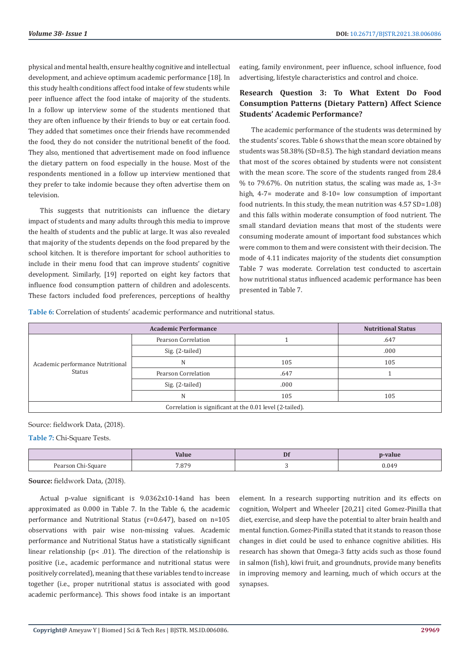physical and mental health, ensure healthy cognitive and intellectual development, and achieve optimum academic performance [18]. In this study health conditions affect food intake of few students while peer influence affect the food intake of majority of the students. In a follow up interview some of the students mentioned that they are often influence by their friends to buy or eat certain food. They added that sometimes once their friends have recommended the food, they do not consider the nutritional benefit of the food. They also, mentioned that advertisement made on food influence the dietary pattern on food especially in the house. Most of the respondents mentioned in a follow up interview mentioned that they prefer to take indomie because they often advertise them on television.

This suggests that nutritionists can influence the dietary impact of students and many adults through this media to improve the health of students and the public at large. It was also revealed that majority of the students depends on the food prepared by the school kitchen. It is therefore important for school authorities to include in their menu food that can improve students' cognitive development. Similarly, [19] reported on eight key factors that influence food consumption pattern of children and adolescents. These factors included food preferences, perceptions of healthy

eating, family environment, peer influence, school influence, food advertising, lifestyle characteristics and control and choice.

# **Research Question 3: To What Extent Do Food Consumption Patterns (Dietary Pattern) Affect Science Students' Academic Performance?**

The academic performance of the students was determined by the students' scores. Table 6 shows that the mean score obtained by students was 58.38% (SD=8.5). The high standard deviation means that most of the scores obtained by students were not consistent with the mean score. The score of the students ranged from 28.4 % to 79.67%. On nutrition status, the scaling was made as,  $1-3=$ high, 4-7= moderate and 8-10= low consumption of important food nutrients. In this study, the mean nutrition was 4.57 SD=1.08) and this falls within moderate consumption of food nutrient. The small standard deviation means that most of the students were consuming moderate amount of important food substances which were common to them and were consistent with their decision. The mode of 4.11 indicates majority of the students diet consumption Table 7 was moderate. Correlation test conducted to ascertain how nutritional status influenced academic performance has been presented in Table 7.

**Table 6:** Correlation of students' academic performance and nutritional status.

|                                                          | <b>Nutritional Status</b> |      |      |  |  |
|----------------------------------------------------------|---------------------------|------|------|--|--|
|                                                          | Pearson Correlation       |      | .647 |  |  |
|                                                          | Sig. (2-tailed)           |      | .000 |  |  |
| Academic performance Nutritional<br>Status               | N                         | 105  | 105  |  |  |
|                                                          | Pearson Correlation       | .647 |      |  |  |
|                                                          | Sig. (2-tailed)           | .000 |      |  |  |
|                                                          | N                         | 105  | 105  |  |  |
| Correlation is significant at the 0.01 level (2-tailed). |                           |      |      |  |  |

#### Source: fieldwork Data, (2018).

**Table 7:** Chi-Square Tests.

|                    | Value | Df | -value |
|--------------------|-------|----|--------|
| Pearson Chi-Square | 7.879 |    | 0.049  |

**Source:** fieldwork Data, (2018).

Actual p-value significant is 9.0362x10-14and has been approximated as 0.000 in Table 7. In the Table 6, the academic performance and Nutritional Status (r=0.647), based on n=105 observations with pair wise non-missing values. Academic performance and Nutritional Status have a statistically significant linear relationship ( $p$ < .01). The direction of the relationship is positive (i.e., academic performance and nutritional status were positively correlated), meaning that these variables tend to increase together (i.e., proper nutritional status is associated with good academic performance). This shows food intake is an important

element. In a research supporting nutrition and its effects on cognition, Wolpert and Wheeler [20,21] cited Gomez-Pinilla that diet, exercise, and sleep have the potential to alter brain health and mental function. Gomez-Pinilla stated that it stands to reason those changes in diet could be used to enhance cognitive abilities. His research has shown that Omega-3 fatty acids such as those found in salmon (fish), kiwi fruit, and groundnuts, provide many benefits in improving memory and learning, much of which occurs at the synapses.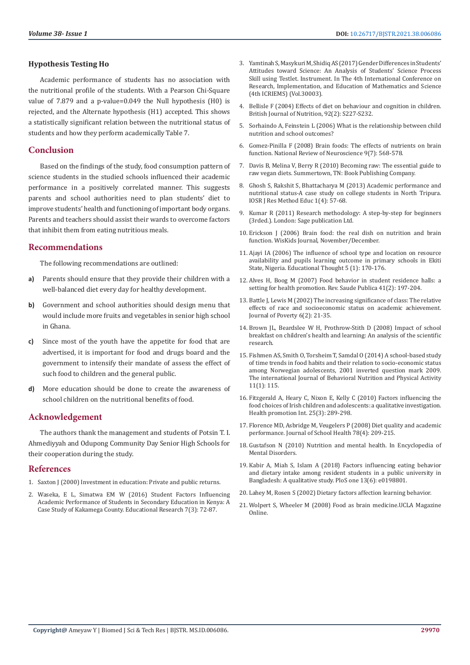#### **Hypothesis Testing Ho**

Academic performance of students has no association with the nutritional profile of the students. With a Pearson Chi-Square value of 7.879 and a p-value=0.049 the Null hypothesis (H0) is rejected, and the Alternate hypothesis (H1) accepted. This shows a statistically significant relation between the nutritional status of students and how they perform academically Table 7.

# **Conclusion**

Based on the findings of the study, food consumption pattern of science students in the studied schools influenced their academic performance in a positively correlated manner. This suggests parents and school authorities need to plan students' diet to improve students' health and functioning of important body organs. Parents and teachers should assist their wards to overcome factors that inhibit them from eating nutritious meals.

# **Recommendations**

The following recommendations are outlined:

- **a)** Parents should ensure that they provide their children with a well-balanced diet every day for healthy development.
- **b)** Government and school authorities should design menu that would include more fruits and vegetables in senior high school in Ghana.
- **c)** Since most of the youth have the appetite for food that are advertised, it is important for food and drugs board and the government to intensify their mandate of assess the effect of such food to children and the general public.
- **d)** More education should be done to create the awareness of school children on the nutritional benefits of food.

# **Acknowledgement**

The authors thank the management and students of Potsin T. I. Ahmediyyah and Odupong Community Day Senior High Schools for their cooperation during the study.

# **References**

- 1. Saxton J (2000) Investment in education: Private and public returns.
- 2. [Waseka, E L, Simatwa EM W \(2016\) Student Factors Influencing](https://www.semanticscholar.org/paper/INVESTMENT-IN-EDUCATION-%3A-PRIVATE-AND-PUBLIC-Saxton/4bf741990ab506e7735239e9ca16e1bffb208959)  [Academic Performance of Students in Secondary Education in Kenya: A](https://www.semanticscholar.org/paper/INVESTMENT-IN-EDUCATION-%3A-PRIVATE-AND-PUBLIC-Saxton/4bf741990ab506e7735239e9ca16e1bffb208959)  [Case Study of Kakamega County. Educational Research 7\(3\): 72-87.](https://www.semanticscholar.org/paper/INVESTMENT-IN-EDUCATION-%3A-PRIVATE-AND-PUBLIC-Saxton/4bf741990ab506e7735239e9ca16e1bffb208959)
- 3. [Yamtinah S, Masykuri M, Shidiq AS \(2017\) Gender Differences in Students'](https://aip.scitation.org/doi/abs/10.1063/1.4995102) [Attitudes toward Science: An Analysis of Students' Science Process](https://aip.scitation.org/doi/abs/10.1063/1.4995102) [Skill using Testlet. Instrument. In The 4th International Conference on](https://aip.scitation.org/doi/abs/10.1063/1.4995102) [Research, Implementation, and Education of Mathematics and Science](https://aip.scitation.org/doi/abs/10.1063/1.4995102) [\(4th ICRIEMS\) \(Vol.30003\).](https://aip.scitation.org/doi/abs/10.1063/1.4995102)
- 4. [Bellisle F \(2004\) Effects of diet on behaviour and cognition in children.](https://pubmed.ncbi.nlm.nih.gov/15522161/) [British Journal of Nutrition, 92\(2\): S227-S232.](https://pubmed.ncbi.nlm.nih.gov/15522161/)
- 5. [Sorhaindo A, Feinstein L \(2006\) What is the relationship between child](https://discovery.ucl.ac.uk/id/eprint/10015414/1/WBLResRep18.pdf) [nutrition and school outcomes?](https://discovery.ucl.ac.uk/id/eprint/10015414/1/WBLResRep18.pdf)
- 6. [Gomez-Pinilla F \(2008\) Brain foods: The effects of nutrients on brain](https://www.ncbi.nlm.nih.gov/pmc/articles/PMC2805706/) [function. National Review of Neuroscience 9\(7\): 568-578.](https://www.ncbi.nlm.nih.gov/pmc/articles/PMC2805706/)
- 7. [Davis B, Melina V, Berry R \(2010\) Becoming raw: The essential guide to](https://www.amazon.com/Becoming-Raw-Essential-Guide-Vegan/dp/1570672385) [raw vegan diets. Summertown, TN: Book Publishing Company.](https://www.amazon.com/Becoming-Raw-Essential-Guide-Vegan/dp/1570672385)
- 8. [Ghosh S, Rakshit S, Bhattacharya M \(2013\) Academic performance and](http://www.iosrjournals.org/iosr-jrme/papers/Vol-1%20Issue-4/I0145768.pdf) [nutritional status-A case study on college students in North Tripura.](http://www.iosrjournals.org/iosr-jrme/papers/Vol-1%20Issue-4/I0145768.pdf) [IOSR J Res Method Educ 1\(4\): 57-68.](http://www.iosrjournals.org/iosr-jrme/papers/Vol-1%20Issue-4/I0145768.pdf)
- 9. [Kumar R \(2011\) Research methodology: A step-by-step for beginners](https://www.academia.edu/40798601/RESEARCH_METHODOLOGY_a_step_by_step_guide_for_beginners_3rd_Ed_by_Ranjit_Kumar_) [\(3rded.\). London: Sage publication Ltd.](https://www.academia.edu/40798601/RESEARCH_METHODOLOGY_a_step_by_step_guide_for_beginners_3rd_Ed_by_Ranjit_Kumar_)
- 10. Erickson J (2006) Brain food: the real dish on nutrition and brain function. WisKids Journal, November/December.
- 11. Ajayi IA (2006) The influence of school type and location on resource availability and pupils learning outcome in primary schools in Ekiti State, Nigeria. Educational Thought 5 (1): 170-176.
- 12. [Alves H, Boog M \(2007\) Food behavior in student residence halls: a](https://pubmed.ncbi.nlm.nih.gov/17384793/) [setting for health promotion. Rev. Saude Publica 41\(2\): 197-204.](https://pubmed.ncbi.nlm.nih.gov/17384793/)
- 13. [Battle J, Lewis M \(2002\) The increasing significance of class: The relative](https://www.tandfonline.com/doi/abs/10.1300/J134v06n02_02) [effects of race and socioeconomic status on academic achievement.](https://www.tandfonline.com/doi/abs/10.1300/J134v06n02_02) [Journal of Poverty 6\(2\): 21-35.](https://www.tandfonline.com/doi/abs/10.1300/J134v06n02_02)
- 14. [Brown JL, Beardslee W H, Prothrow-Stith D \(2008\) Impact of school](http://us.stop-hunger.org/files/live/sites/stophunger-us/files/HungerPdf/Impact%20of%20School%20Breakfast%20Study_tcm150-212606.pdf) [breakfast on children's health and learning: An analysis of the scientific](http://us.stop-hunger.org/files/live/sites/stophunger-us/files/HungerPdf/Impact%20of%20School%20Breakfast%20Study_tcm150-212606.pdf) [research.](http://us.stop-hunger.org/files/live/sites/stophunger-us/files/HungerPdf/Impact%20of%20School%20Breakfast%20Study_tcm150-212606.pdf)
- 15. [Fishmen AS, Smith O, Torsheim T, Samdal O \(2014\) A school-based study](https://ijbnpa.biomedcentral.com/articles/10.1186/s12966-014-0115-y) [of time trends in food habits and their relation to socio-economic status](https://ijbnpa.biomedcentral.com/articles/10.1186/s12966-014-0115-y) [among Norwegian adolescents, 2001 inverted question mark 2009.](https://ijbnpa.biomedcentral.com/articles/10.1186/s12966-014-0115-y) [The international Journal of Behavioral Nutrition and Physical Activity](https://ijbnpa.biomedcentral.com/articles/10.1186/s12966-014-0115-y) [11\(1\): 115.](https://ijbnpa.biomedcentral.com/articles/10.1186/s12966-014-0115-y)
- 16. [Fitzgerald A, Heary C, Nixon E, Kelly C \(2010\) Factors influencing the](https://pubmed.ncbi.nlm.nih.gov/20382978/) [food choices of Irish children and adolescents: a qualitative investigation.](https://pubmed.ncbi.nlm.nih.gov/20382978/) [Health promotion Int. 25\(3\): 289-298.](https://pubmed.ncbi.nlm.nih.gov/20382978/)
- 17. [Florence MD, Asbridge M, Veugelers P \(2008\) Diet quality and academic](https://pubmed.ncbi.nlm.nih.gov/18336680/) [performance. Journal of School Health 78\(4\): 209-215.](https://pubmed.ncbi.nlm.nih.gov/18336680/)
- 18. [Gustafson N \(2010\) Nutrition and mental health. In Encyclopedia of](https://www.encyclopedia.com/medicine/encyclopedias-almanacs-transcripts-and-maps/nutrition-and-mental-health) [Mental Disorders.](https://www.encyclopedia.com/medicine/encyclopedias-almanacs-transcripts-and-maps/nutrition-and-mental-health)
- 19. [Kabir A, Miah S, Islam A \(2018\) Factors influencing eating behavior](https://pubmed.ncbi.nlm.nih.gov/29920535/) [and dietary intake among resident students in a public university in](https://pubmed.ncbi.nlm.nih.gov/29920535/) [Bangladesh: A qualitative study. PloS one 13\(6\): e0198801.](https://pubmed.ncbi.nlm.nih.gov/29920535/)
- 20. [Lahey M, Rosen S \(2002\) Dietary factors affection learning behavior.](https://www.childrensdisabilities.info/allergies/dietlearningbehavior1.html)
- 21. [Wolpert S, Wheeler M \(2008\) Food as brain medicine.UCLA Magazine](https://newsroom.ucla.edu/magazine) [Online.](https://newsroom.ucla.edu/magazine)